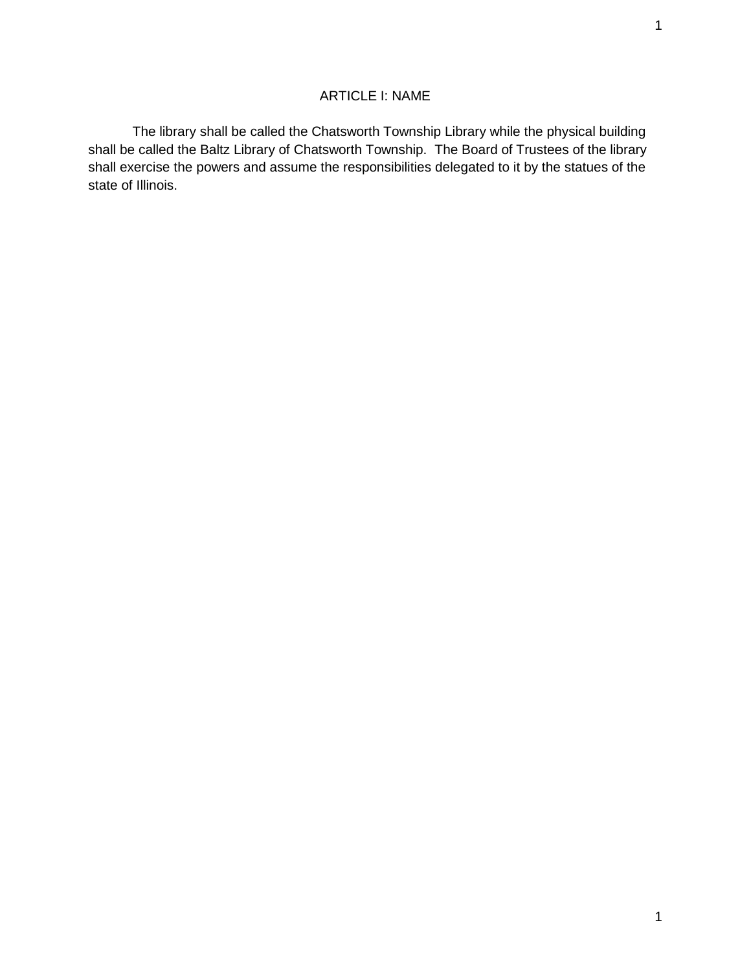# ARTICLE I: NAME

The library shall be called the Chatsworth Township Library while the physical building shall be called the Baltz Library of Chatsworth Township. The Board of Trustees of the library shall exercise the powers and assume the responsibilities delegated to it by the statues of the state of Illinois.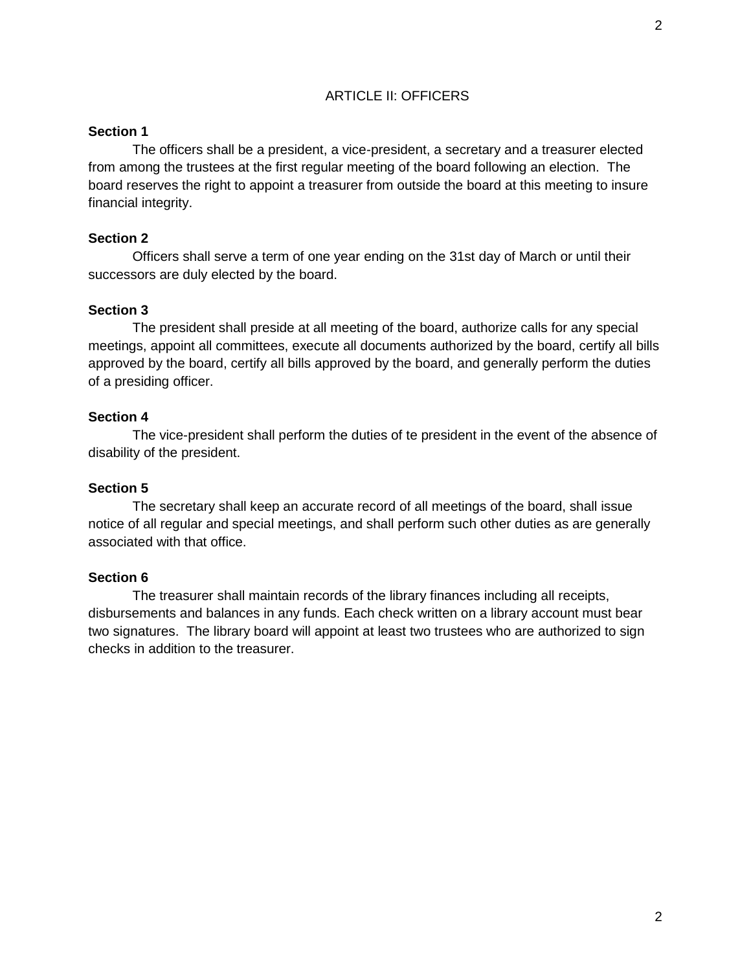## ARTICLE II: OFFICERS

### **Section 1**

The officers shall be a president, a vice-president, a secretary and a treasurer elected from among the trustees at the first regular meeting of the board following an election. The board reserves the right to appoint a treasurer from outside the board at this meeting to insure financial integrity.

## **Section 2**

Officers shall serve a term of one year ending on the 31st day of March or until their successors are duly elected by the board.

## **Section 3**

The president shall preside at all meeting of the board, authorize calls for any special meetings, appoint all committees, execute all documents authorized by the board, certify all bills approved by the board, certify all bills approved by the board, and generally perform the duties of a presiding officer.

## **Section 4**

The vice-president shall perform the duties of te president in the event of the absence of disability of the president.

### **Section 5**

The secretary shall keep an accurate record of all meetings of the board, shall issue notice of all regular and special meetings, and shall perform such other duties as are generally associated with that office.

#### **Section 6**

The treasurer shall maintain records of the library finances including all receipts, disbursements and balances in any funds. Each check written on a library account must bear two signatures. The library board will appoint at least two trustees who are authorized to sign checks in addition to the treasurer.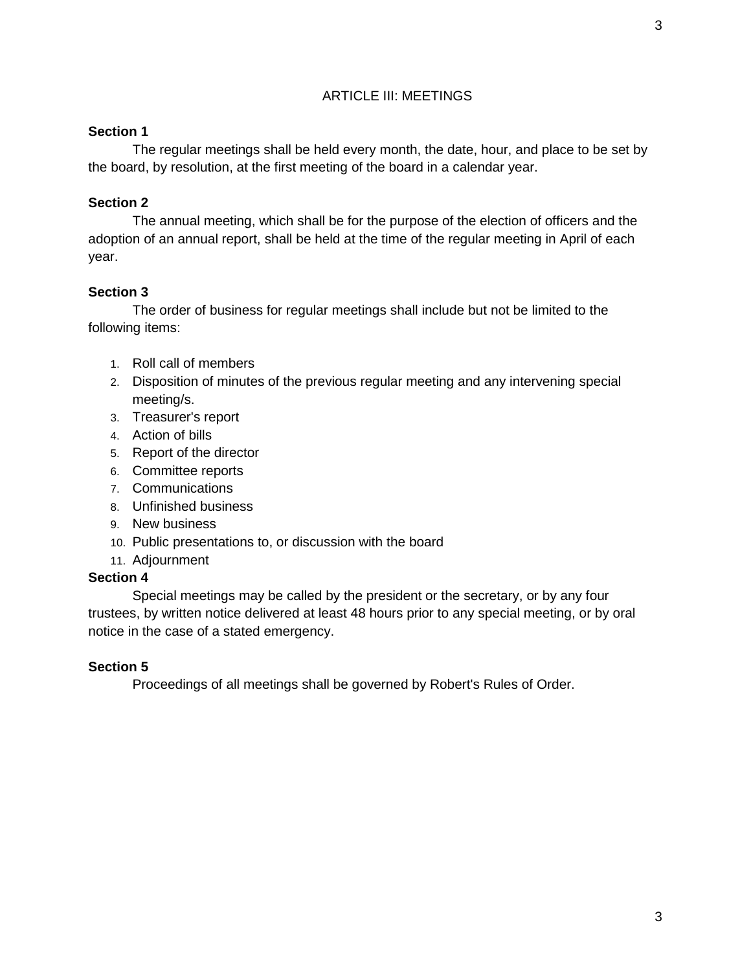# ARTICLE III: MEETINGS

## **Section 1**

The regular meetings shall be held every month, the date, hour, and place to be set by the board, by resolution, at the first meeting of the board in a calendar year.

# **Section 2**

The annual meeting, which shall be for the purpose of the election of officers and the adoption of an annual report, shall be held at the time of the regular meeting in April of each year.

# **Section 3**

The order of business for regular meetings shall include but not be limited to the following items:

- 1. Roll call of members
- 2. Disposition of minutes of the previous regular meeting and any intervening special meeting/s.
- 3. Treasurer's report
- 4. Action of bills
- 5. Report of the director
- 6. Committee reports
- 7. Communications
- 8. Unfinished business
- 9. New business
- 10. Public presentations to, or discussion with the board
- 11. Adjournment

## **Section 4**

Special meetings may be called by the president or the secretary, or by any four trustees, by written notice delivered at least 48 hours prior to any special meeting, or by oral notice in the case of a stated emergency.

# **Section 5**

Proceedings of all meetings shall be governed by Robert's Rules of Order.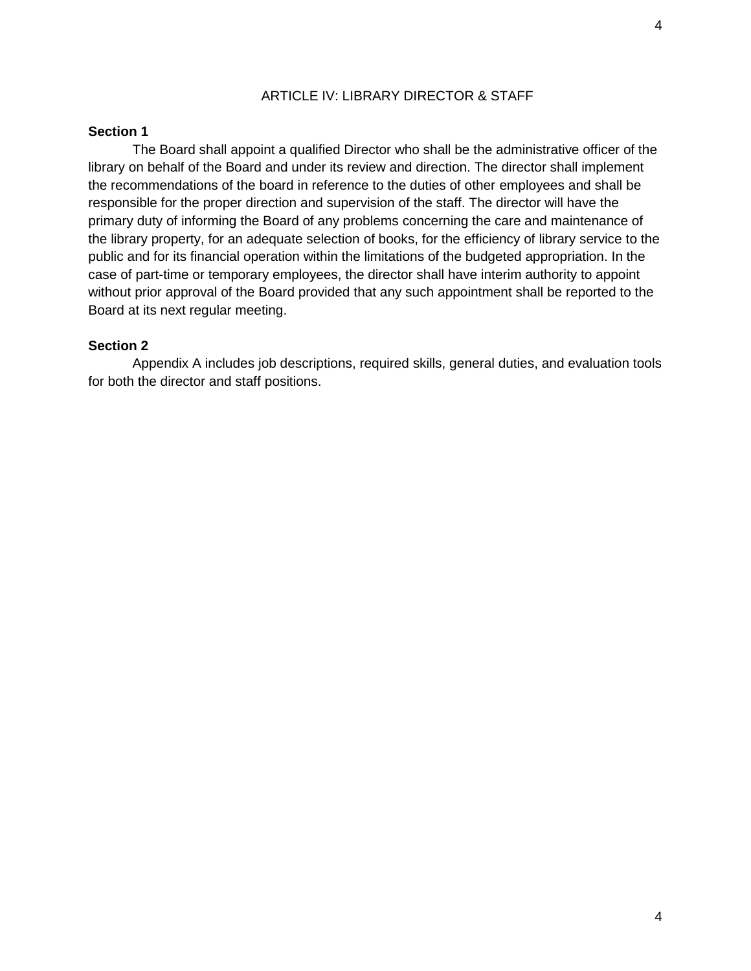## ARTICLE IV: LIBRARY DIRECTOR & STAFF

### **Section 1**

The Board shall appoint a qualified Director who shall be the administrative officer of the library on behalf of the Board and under its review and direction. The director shall implement the recommendations of the board in reference to the duties of other employees and shall be responsible for the proper direction and supervision of the staff. The director will have the primary duty of informing the Board of any problems concerning the care and maintenance of the library property, for an adequate selection of books, for the efficiency of library service to the public and for its financial operation within the limitations of the budgeted appropriation. In the case of part-time or temporary employees, the director shall have interim authority to appoint without prior approval of the Board provided that any such appointment shall be reported to the Board at its next regular meeting.

## **Section 2**

Appendix A includes job descriptions, required skills, general duties, and evaluation tools for both the director and staff positions.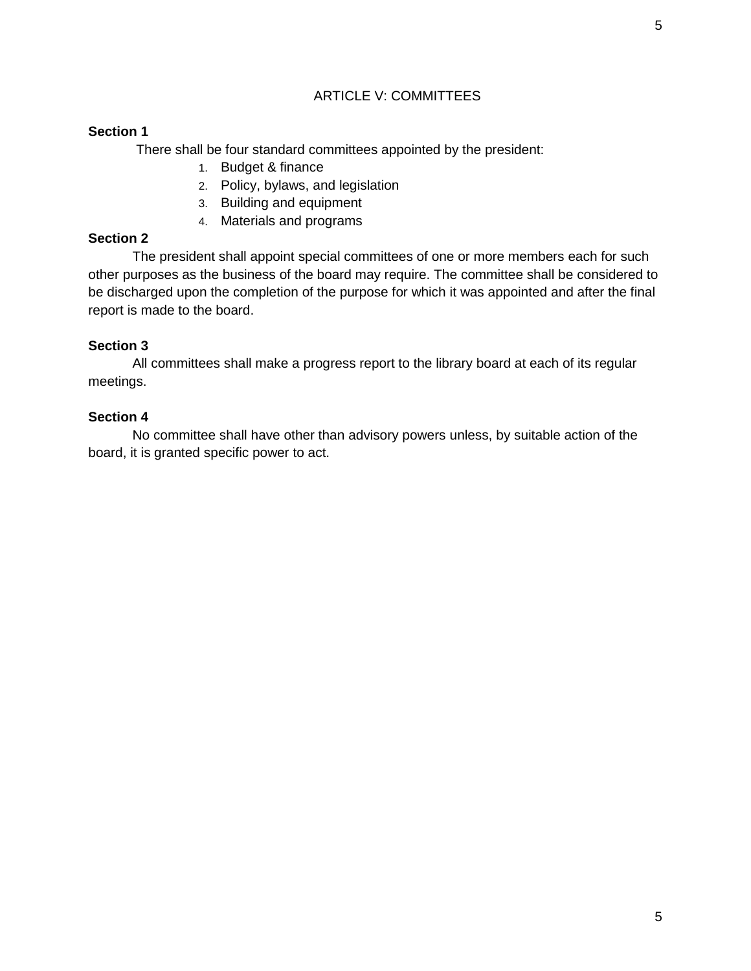# ARTICLE V: COMMITTEES

## **Section 1**

There shall be four standard committees appointed by the president:

- 1. Budget & finance
- 2. Policy, bylaws, and legislation
- 3. Building and equipment
- 4. Materials and programs

## **Section 2**

The president shall appoint special committees of one or more members each for such other purposes as the business of the board may require. The committee shall be considered to be discharged upon the completion of the purpose for which it was appointed and after the final report is made to the board.

## **Section 3**

All committees shall make a progress report to the library board at each of its regular meetings.

### **Section 4**

No committee shall have other than advisory powers unless, by suitable action of the board, it is granted specific power to act.